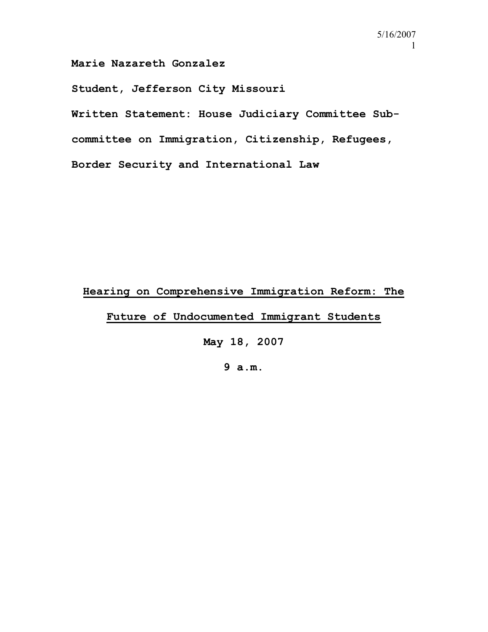**Marie Nazareth Gonzalez** 

**Student, Jefferson City Missouri** 

**Written Statement: House Judiciary Committee Subcommittee on Immigration, Citizenship, Refugees, Border Security and International Law** 

## **Hearing on Comprehensive Immigration Reform: The**

**Future of Undocumented Immigrant Students**

**May 18, 2007** 

**9 a.m.**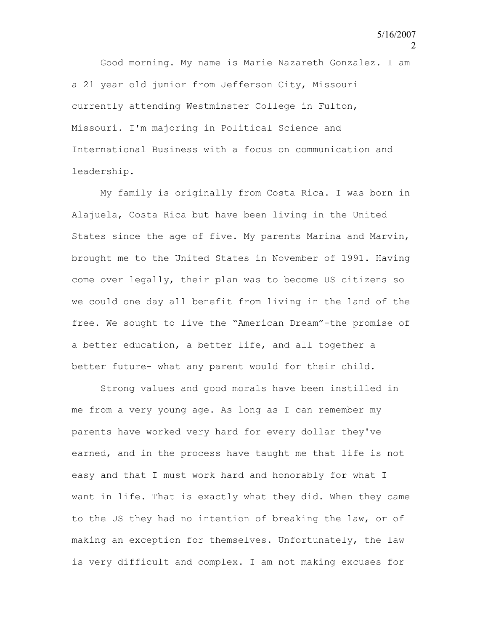Good morning. My name is Marie Nazareth Gonzalez. I am a 21 year old junior from Jefferson City, Missouri currently attending Westminster College in Fulton, Missouri. I'm majoring in Political Science and International Business with a focus on communication and leadership.

My family is originally from Costa Rica. I was born in Alajuela, Costa Rica but have been living in the United States since the age of five. My parents Marina and Marvin, brought me to the United States in November of 1991. Having come over legally, their plan was to become US citizens so we could one day all benefit from living in the land of the free. We sought to live the "American Dream"-the promise of a better education, a better life, and all together a better future- what any parent would for their child.

Strong values and good morals have been instilled in me from a very young age. As long as I can remember my parents have worked very hard for every dollar they've earned, and in the process have taught me that life is not easy and that I must work hard and honorably for what I want in life. That is exactly what they did. When they came to the US they had no intention of breaking the law, or of making an exception for themselves. Unfortunately, the law is very difficult and complex. I am not making excuses for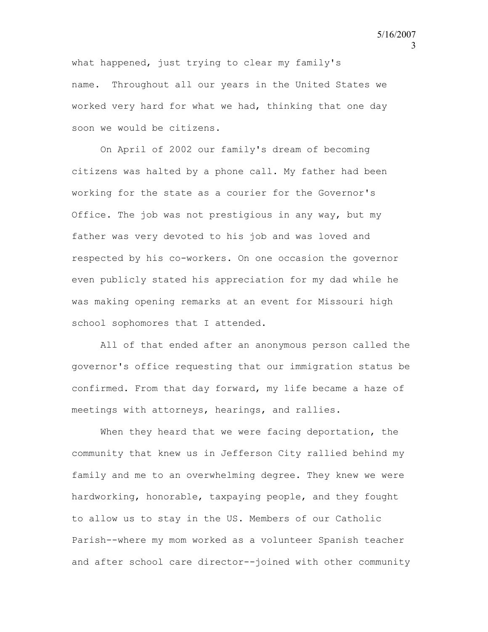what happened, just trying to clear my family's name. Throughout all our years in the United States we worked very hard for what we had, thinking that one day soon we would be citizens.

On April of 2002 our family's dream of becoming citizens was halted by a phone call. My father had been working for the state as a courier for the Governor's Office. The job was not prestigious in any way, but my father was very devoted to his job and was loved and respected by his co-workers. On one occasion the governor even publicly stated his appreciation for my dad while he was making opening remarks at an event for Missouri high school sophomores that I attended.

All of that ended after an anonymous person called the governor's office requesting that our immigration status be confirmed. From that day forward, my life became a haze of meetings with attorneys, hearings, and rallies.

When they heard that we were facing deportation, the community that knew us in Jefferson City rallied behind my family and me to an overwhelming degree. They knew we were hardworking, honorable, taxpaying people, and they fought to allow us to stay in the US. Members of our Catholic Parish--where my mom worked as a volunteer Spanish teacher and after school care director--joined with other community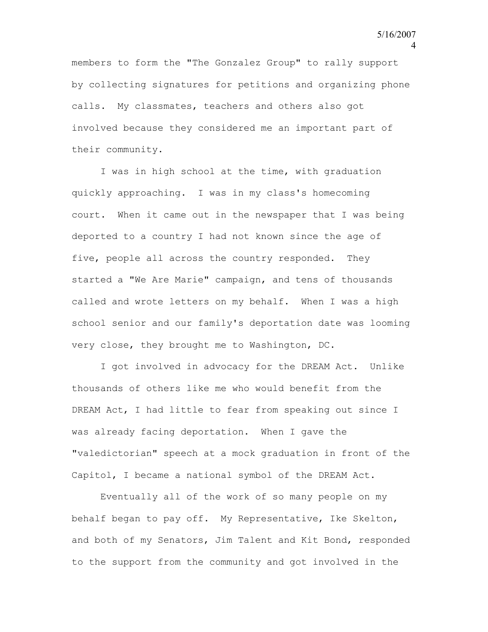members to form the "The Gonzalez Group" to rally support by collecting signatures for petitions and organizing phone calls. My classmates, teachers and others also got involved because they considered me an important part of their community.

I was in high school at the time, with graduation quickly approaching. I was in my class's homecoming court. When it came out in the newspaper that I was being deported to a country I had not known since the age of five, people all across the country responded. They started a "We Are Marie" campaign, and tens of thousands called and wrote letters on my behalf. When I was a high school senior and our family's deportation date was looming very close, they brought me to Washington, DC.

I got involved in advocacy for the DREAM Act. Unlike thousands of others like me who would benefit from the DREAM Act, I had little to fear from speaking out since I was already facing deportation. When I gave the "valedictorian" speech at a mock graduation in front of the Capitol, I became a national symbol of the DREAM Act.

Eventually all of the work of so many people on my behalf began to pay off. My Representative, Ike Skelton, and both of my Senators, Jim Talent and Kit Bond, responded to the support from the community and got involved in the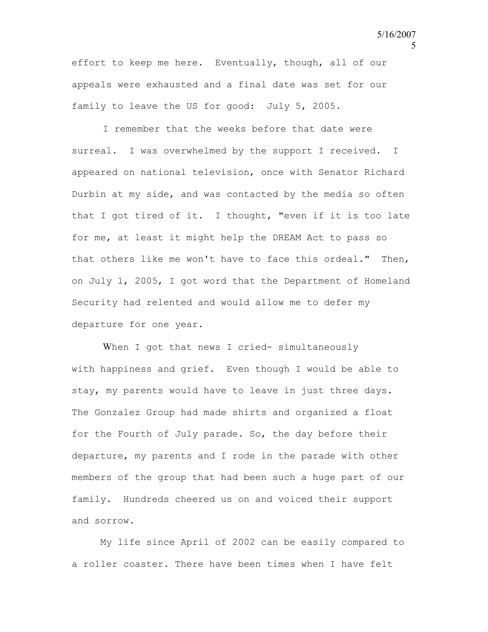effort to keep me here. Eventually, though, all of our appeals were exhausted and a final date was set for our family to leave the US for good: July 5, 2005.

I remember that the weeks before that date were surreal. I was overwhelmed by the support I received. I appeared on national television, once with Senator Richard Durbin at my side, and was contacted by the media so often that I got tired of it. I thought, "even if it is too late for me, at least it might help the DREAM Act to pass so that others like me won't have to face this ordeal." Then, on July 1, 2005, I got word that the Department of Homeland Security had relented and would allow me to defer my departure for one year.

When I got that news I cried- simultaneously with happiness and grief. Even though I would be able to stay, my parents would have to leave in just three days. The Gonzalez Group had made shirts and organized a float for the Fourth of July parade. So, the day before their departure, my parents and I rode in the parade with other members of the group that had been such a huge part of our family. Hundreds cheered us on and voiced their support and sorrow.

My life since April of 2002 can be easily compared to a roller coaster. There have been times when I have felt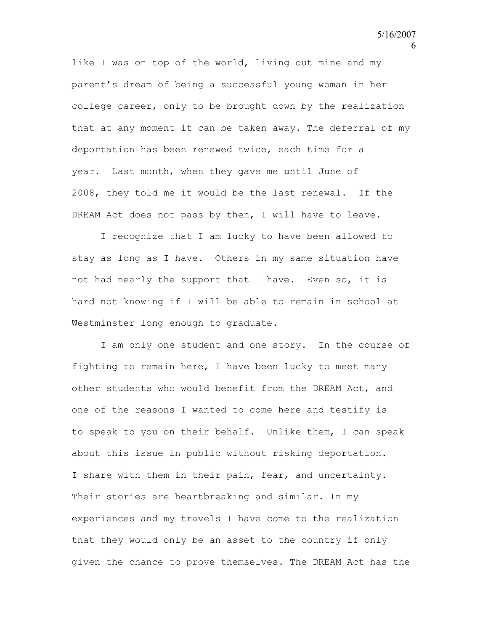like I was on top of the world, living out mine and my parent's dream of being a successful young woman in her college career, only to be brought down by the realization that at any moment it can be taken away. The deferral of my deportation has been renewed twice, each time for a year. Last month, when they gave me until June of 2008, they told me it would be the last renewal. If the DREAM Act does not pass by then, I will have to leave.

I recognize that I am lucky to have been allowed to stay as long as I have. Others in my same situation have not had nearly the support that I have. Even so, it is hard not knowing if I will be able to remain in school at Westminster long enough to graduate.

I am only one student and one story. In the course of fighting to remain here, I have been lucky to meet many other students who would benefit from the DREAM Act, and one of the reasons I wanted to come here and testify is to speak to you on their behalf. Unlike them, I can speak about this issue in public without risking deportation. I share with them in their pain, fear, and uncertainty. Their stories are heartbreaking and similar. In my experiences and my travels I have come to the realization that they would only be an asset to the country if only given the chance to prove themselves. The DREAM Act has the